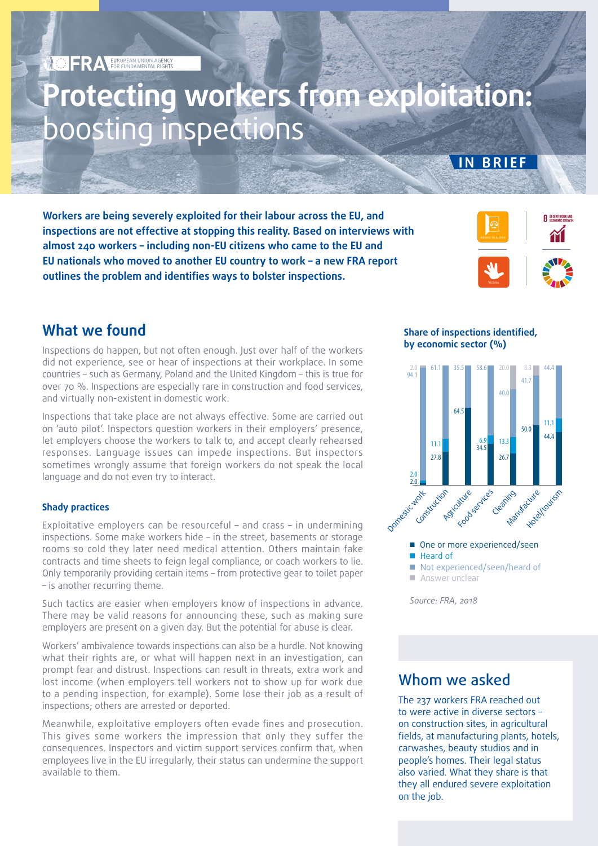# **Protecting workers from exploitation:**  boosting inspections

**Workers are being severely exploited for their labour across the EU, and inspections are not effective at stopping this reality. Based on interviews with almost 240 workers – including non-EU citizens who came to the EU and EU nationals who moved to another EU country to work – a new FRA report outlines the problem and identifies ways to bolster inspections.** 



**IN BRIEF**

## **What we found**

Inspections do happen, but not often enough. Just over half of the workers did not experience, see or hear of inspections at their workplace. In some countries – such as Germany, Poland and the United Kingdom – this is true for over 70 %. Inspections are especially rare in construction and food services, and virtually non-existent in domestic work.

Inspections that take place are not always effective. Some are carried out on 'auto pilot'. Inspectors question workers in their employers' presence, let employers choose the workers to talk to, and accept clearly rehearsed responses. Language issues can impede inspections. But inspectors sometimes wrongly assume that foreign workers do not speak the local language and do not even try to interact.

### **Shady practices**

Exploitative employers can be resourceful – and crass – in undermining inspections. Some make workers hide – in the street, basements or storage rooms so cold they later need medical attention. Others maintain fake contracts and time sheets to feign legal compliance, or coach workers to lie. Only temporarily providing certain items – from protective gear to toilet paper – is another recurring theme.

Such tactics are easier when employers know of inspections in advance. There may be valid reasons for announcing these, such as making sure employers are present on a given day. But the potential for abuse is clear.

Workers' ambivalence towards inspections can also be a hurdle. Not knowing what their rights are, or what will happen next in an investigation, can prompt fear and distrust. Inspections can result in threats, extra work and lost income (when employers tell workers not to show up for work due to a pending inspection, for example). Some lose their job as a result of inspections; others are arrested or deported.

Meanwhile, exploitative employers often evade fines and prosecution. This gives some workers the impression that only they suffer the consequences. Inspectors and victim support services confirm that, when employees live in the EU irregularly, their status can undermine the support available to them.

**Share of inspections identified, by economic sector (%)**



*Source: FRA, 2018*

## Whom we asked

The 237 workers FRA reached out to were active in diverse sectors – on construction sites, in agricultural fields, at manufacturing plants, hotels, carwashes, beauty studios and in people's homes. Their legal status also varied. What they share is that they all endured severe exploitation on the job.